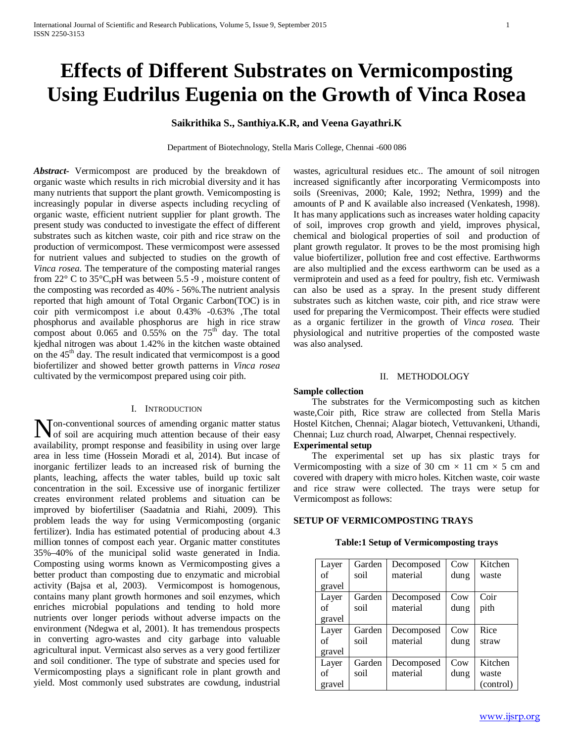# **Effects of Different Substrates on Vermicomposting Using Eudrilus Eugenia on the Growth of Vinca Rosea**

## **Saikrithika S., Santhiya.K.R, and Veena Gayathri.K**

Department of Biotechnology, Stella Maris College, Chennai -600 086

*Abstract***-** Vermicompost are produced by the breakdown of organic waste which results in rich microbial diversity and it has many nutrients that support the plant growth. Vemicomposting is increasingly popular in diverse aspects including recycling of organic waste, efficient nutrient supplier for plant growth. The present study was conducted to investigate the effect of different substrates such as kitchen waste, coir pith and rice straw on the production of vermicompost. These vermicompost were assessed for nutrient values and subjected to studies on the growth of *Vinca rosea*. The temperature of the composting material ranges from 22° C to 35°C,pH was between 5.5 -9 , moisture content of the composting was recorded as 40% - 56%.The nutrient analysis reported that high amount of Total Organic Carbon(TOC) is in coir pith vermicompost i.e about 0.43% -0.63% ,The total phosphorus and available phosphorus are high in rice straw compost about  $0.065$  and  $0.55\%$  on the  $75<sup>th</sup>$  day. The total kjedhal nitrogen was about 1.42% in the kitchen waste obtained on the  $45<sup>th</sup>$  day. The result indicated that vermicompost is a good biofertilizer and showed better growth patterns in *Vinca rosea* cultivated by the vermicompost prepared using coir pith.

#### I. INTRODUCTION

on-conventional sources of amending organic matter status **N**on-conventional sources of amending organic matter status<br>of soil are acquiring much attention because of their easy availability, prompt response and feasibility in using over large area in less time (Hossein Moradi et al, 2014). But incase of inorganic fertilizer leads to an increased risk of burning the plants, leaching, affects the water tables, build up toxic salt concentration in the soil. Excessive use of inorganic fertilizer creates environment related problems and situation can be improved by biofertiliser (Saadatnia and Riahi, 2009). This problem leads the way for using Vermicomposting (organic fertilizer). India has estimated potential of producing about 4.3 million tonnes of compost each year. Organic matter constitutes 35%–40% of the municipal solid waste generated in India. Composting using worms known as Vermicomposting gives a better product than composting due to enzymatic and microbial activity (Bajsa et al, 2003). Vermicompost is homogenous, contains many plant growth hormones and soil enzymes, which enriches microbial populations and tending to hold more nutrients over longer periods without adverse impacts on the environment (Ndegwa et al, 2001). It has tremendous prospects in converting agro-wastes and city garbage into valuable agricultural input. Vermicast also serves as a very good fertilizer and soil conditioner. The type of substrate and species used for Vermicomposting plays a significant role in plant growth and yield. Most commonly used substrates are cowdung, industrial

wastes, agricultural residues etc.. The amount of soil nitrogen increased significantly after incorporating Vermicomposts into soils (Sreenivas, 2000; Kale, 1992; Nethra, 1999) and the amounts of P and K available also increased (Venkatesh, 1998). It has many applications such as increases water holding capacity of soil, improves crop growth and yield, improves physical, chemical and biological properties of soil and production of plant growth regulator. It proves to be the most promising high value biofertilizer, pollution free and cost effective. Earthworms are also multiplied and the excess earthworm can be used as a vermiprotein and used as a feed for poultry, fish etc. Vermiwash can also be used as a spray. In the present study different substrates such as kitchen waste, coir pith, and rice straw were used for preparing the Vermicompost. Their effects were studied as a organic fertilizer in the growth of *Vinca rosea.* Their physiological and nutritive properties of the composted waste was also analysed.

## II. METHODOLOGY

#### **Sample collection**

 The substrates for the Vermicomposting such as kitchen waste,Coir pith, Rice straw are collected from Stella Maris Hostel Kitchen, Chennai; Alagar biotech, Vettuvankeni, Uthandi, Chennai; Luz church road, Alwarpet, Chennai respectively.

#### **Experimental setup**

 The experimental set up has six plastic trays for Vermicomposting with a size of 30 cm  $\times$  11 cm  $\times$  5 cm and covered with drapery with micro holes. Kitchen waste, coir waste and rice straw were collected. The trays were setup for Vermicompost as follows:

## **SETUP OF VERMICOMPOSTING TRAYS**

#### **Table:1 Setup of Vermicomposting trays**

| Layer<br>of | Garden<br>soil | Decomposed<br>material | Cow  | Kitchen<br>waste |
|-------------|----------------|------------------------|------|------------------|
| gravel      |                |                        | dung |                  |
| Layer       | Garden         | Decomposed             | Cow  | Coir             |
| of          | soil           | material               | dung | pith             |
| gravel      |                |                        |      |                  |
|             |                |                        |      |                  |
| Layer       | Garden         | Decomposed             | Cow  | Rice             |
| of          | soil           | material               | dung | straw            |
| gravel      |                |                        |      |                  |
| Layer       | Garden         | Decomposed             | Cow  | Kitchen          |
| of          | soil           | material               | dung | waste            |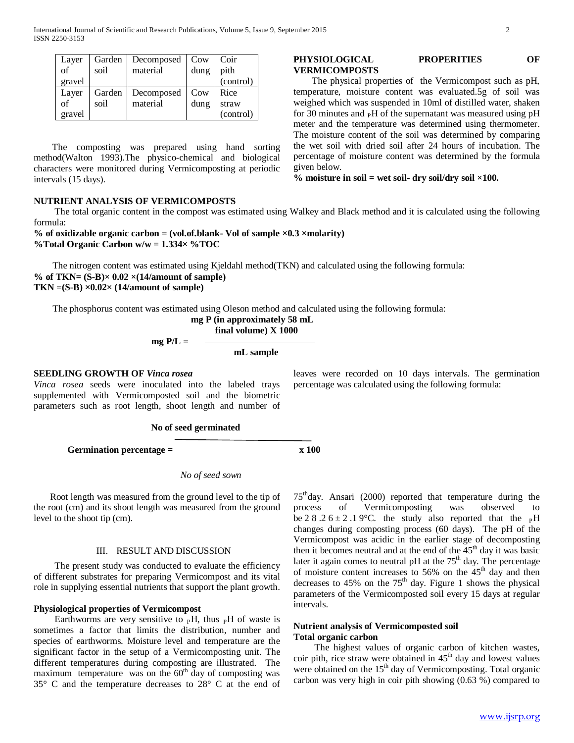| Layer  | Garden | Decomposed | Cow  | Coir                          |
|--------|--------|------------|------|-------------------------------|
| of     | soil   | material   | dung | pith                          |
| gravel |        |            |      | $\overline{\text{(control)}}$ |
| Layer  | Garden | Decomposed | Cow  | Rice                          |
| of     | soil   | material   | dung | straw                         |
| gravel |        |            |      | (control)                     |

 The composting was prepared using hand sorting method(Walton 1993).The physico-chemical and biological characters were monitored during Vermicomposting at periodic intervals (15 days).

## **NUTRIENT ANALYSIS OF VERMICOMPOSTS**

The total organic content in the compost was estimated using Walkey and Black method and it is calculated using the following formula:

**VERMICOMPOSTS**

given below.

**% of oxidizable organic carbon = (vol.of.blank- Vol of sample ×0.3 ×molarity) %Total Organic Carbon w/w = 1.334× %TOC**

 The nitrogen content was estimated using Kjeldahl method(TKN) and calculated using the following formula: % of TKN=  $(S-B) \times 0.02 \times (14/amount of sample)$ **TKN =(S-B) ×0.02× (14/amount of sample)**

The phosphorus content was estimated using Oleson method and calculated using the following formula:

 **mg P (in approximately 58 mL**

 **final volume) X 1000**

 **mg P/L =** 

 **mL sample**

#### **SEEDLING GROWTH OF** *Vinca rosea*

*Vinca rosea* seeds were inoculated into the labeled trays supplemented with Vermicomposted soil and the biometric parameters such as root length, shoot length and number of leaves were recorded on 10 days intervals. The germination percentage was calculated using the following formula:

**PHYSIOLOGICAL PROPERITIES OF** 

% moisture in soil = wet soil- dry soil/dry soil  $\times$ 100.

 The physical properties of the Vermicompost such as pH, temperature, moisture content was evaluated.5g of soil was weighed which was suspended in 10ml of distilled water, shaken for 30 minutes and  $\,rm{pH}$  of the supernatant was measured using  $\rm{pH}$ meter and the temperature was determined using thermometer. The moisture content of the soil was determined by comparing the wet soil with dried soil after 24 hours of incubation. The percentage of moisture content was determined by the formula

#### **No of seed germinated**

Germination percentage = x 100

## *No of seed sown*

 Root length was measured from the ground level to the tip of the root (cm) and its shoot length was measured from the ground level to the shoot tip (cm).

#### III. RESULT AND DISCUSSION

 The present study was conducted to evaluate the efficiency of different substrates for preparing Vermicompost and its vital role in supplying essential nutrients that support the plant growth.

## **Physiological properties of Vermicompost**

Earthworms are very sensitive to  $\,P$ H, thus  $\,P$ H of waste is sometimes a factor that limits the distribution, number and species of earthworms. Moisture level and temperature are the significant factor in the setup of a Vermicomposting unit. The different temperatures during composting are illustrated. The maximum temperature was on the  $60<sup>th</sup>$  day of composting was 35° C and the temperature decreases to 28° C at the end of

75thday. Ansari (2000) reported that temperature during the process of Vermicomposting was observed be 2 8 .2  $6 \pm 2$  .1 9°C. the study also reported that the <sub>P</sub>H changes during composting process (60 days). The pH of the Vermicompost was acidic in the earlier stage of decomposting then it becomes neutral and at the end of the  $45<sup>th</sup>$  day it was basic later it again comes to neutral pH at the  $75<sup>th</sup>$  day. The percentage of moisture content increases to 56% on the  $45<sup>th</sup>$  day and then decreases to  $45\%$  on the  $75<sup>th</sup>$  day. Figure 1 shows the physical parameters of the Vermicomposted soil every 15 days at regular intervals.

## **Nutrient analysis of Vermicomposted soil Total organic carbon**

 The highest values of organic carbon of kitchen wastes, coir pith, rice straw were obtained in  $45<sup>th</sup>$  day and lowest values were obtained on the 15<sup>th</sup> day of Vermicomposting. Total organic carbon was very high in coir pith showing (0.63 %) compared to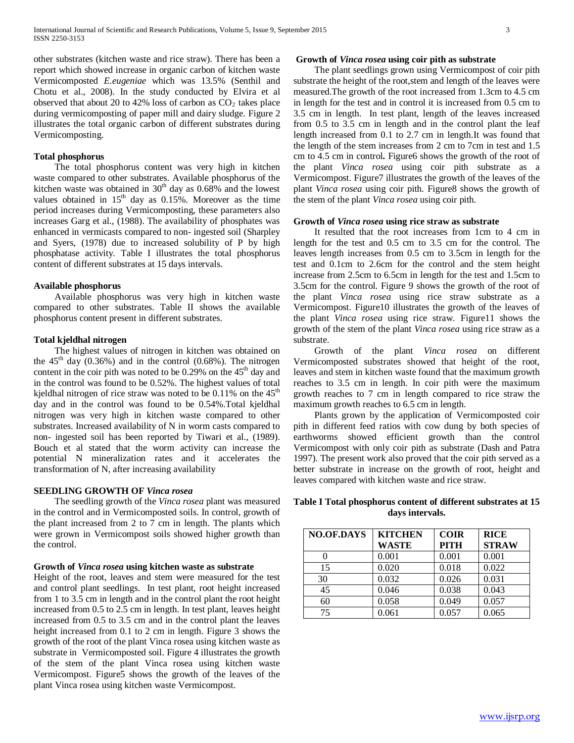other substrates (kitchen waste and rice straw). There has been a report which showed increase in organic carbon of kitchen waste Vermicomposted *E.eugeniae* which was 13.5% (Senthil and Chotu et al., 2008). In the study conducted by Elvira et al observed that about 20 to 42% loss of carbon as  $CO<sub>2</sub>$  takes place during vermicomposting of paper mill and dairy sludge. Figure 2 illustrates the total organic carbon of different substrates during Vermicomposting.

#### **Total phosphorus**

 The total phosphorus content was very high in kitchen waste compared to other substrates. Available phosphorus of the kitchen waste was obtained in  $30<sup>th</sup>$  day as 0.68% and the lowest values obtained in  $15<sup>th</sup>$  day as 0.15%. Moreover as the time period increases during Vermicomposting, these parameters also increases Garg et al., (1988). The availability of phosphates was enhanced in vermicasts compared to non- ingested soil (Sharpley and Syers, (1978) due to increased solubility of P by high phosphatase activity. Table I illustrates the total phosphorus content of different substrates at 15 days intervals.

#### **Available phosphorus**

 Available phosphorus was very high in kitchen waste compared to other substrates. Table II shows the available phosphorus content present in different substrates.

## **Total kjeldhal nitrogen**

 The highest values of nitrogen in kitchen was obtained on the  $45<sup>th</sup>$  day (0.36%) and in the control (0.68%). The nitrogen content in the coir pith was noted to be  $0.29\%$  on the  $45<sup>th</sup>$  day and in the control was found to be 0.52%. The highest values of total kjeldhal nitrogen of rice straw was noted to be  $0.11\%$  on the  $45<sup>th</sup>$ day and in the control was found to be 0.54%.Total kjeldhal nitrogen was very high in kitchen waste compared to other substrates. Increased availability of N in worm casts compared to non- ingested soil has been reported by Tiwari et al., (1989). Bouch et al stated that the worm activity can increase the potential N mineralization rates and it accelerates the transformation of N, after increasing availability

## **SEEDLING GROWTH OF** *Vinca rosea*

 The seedling growth of the *Vinca rosea* plant was measured in the control and in Vermicomposted soils. In control, growth of the plant increased from 2 to 7 cm in length. The plants which were grown in Vermicompost soils showed higher growth than the control.

#### **Growth of** *Vinca rosea* **using kitchen waste as substrate**

Height of the root, leaves and stem were measured for the test and control plant seedlings. In test plant, root height increased from 1 to 3.5 cm in length and in the control plant the root height increased from 0.5 to 2.5 cm in length. In test plant, leaves height increased from 0.5 to 3.5 cm and in the control plant the leaves height increased from 0.1 to 2 cm in length. Figure 3 shows the growth of the root of the plant Vinca rosea using kitchen waste as substrate in Vermicomposted soil. Figure 4 illustrates the growth of the stem of the plant Vinca rosea using kitchen waste Vermicompost. Figure5 shows the growth of the leaves of the plant Vinca rosea using kitchen waste Vermicompost.

#### **Growth of** *Vinca rosea* **using coir pith as substrate**

 The plant seedlings grown using Vermicompost of coir pith substrate the height of the root,stem and length of the leaves were measured.The growth of the root increased from 1.3cm to 4.5 cm in length for the test and in control it is increased from 0.5 cm to 3.5 cm in length. In test plant, length of the leaves increased from 0.5 to 3.5 cm in length and in the control plant the leaf length increased from 0.1 to 2.7 cm in length.It was found that the length of the stem increases from 2 cm to 7cm in test and 1.5 cm to 4.5 cm in control*.* Figure6 shows the growth of the root of the plant *Vinca rosea* using coir pith substrate as a Vermicompost. Figure7 illustrates the growth of the leaves of the plant *Vinca rosea* using coir pith. Figure8 shows the growth of the stem of the plant *Vinca rosea* using coir pith.

#### **Growth of** *Vinca rosea* **using rice straw as substrate**

 It resulted that the root increases from 1cm to 4 cm in length for the test and 0.5 cm to 3.5 cm for the control. The leaves length increases from 0.5 cm to 3.5cm in length for the test and 0.1cm to 2.6cm for the control and the stem height increase from 2.5cm to 6.5cm in length for the test and 1.5cm to 3.5cm for the control. Figure 9 shows the growth of the root of the plant *Vinca rosea* using rice straw substrate as a Vermicompost. Figure10 illustrates the growth of the leaves of the plant *Vinca rosea* using rice straw. Figure11 shows the growth of the stem of the plant *Vinca rosea* using rice straw as a substrate.

 Growth of the plant *Vinca rosea* on different Vermicomposted substrates showed that height of the root, leaves and stem in kitchen waste found that the maximum growth reaches to 3.5 cm in length. In coir pith were the maximum growth reaches to 7 cm in length compared to rice straw the maximum growth reaches to 6.5 cm in length.

 Plants grown by the application of Vermicomposted coir pith in different feed ratios with cow dung by both species of earthworms showed efficient growth than the control Vermicompost with only coir pith as substrate (Dash and Patra 1997). The present work also proved that the coir pith served as a better substrate in increase on the growth of root, height and leaves compared with kitchen waste and rice straw.

## **Table I Total phosphorus content of different substrates at 15 days intervals.**

| <b>NO.OF.DAYS</b> | <b>KITCHEN</b> | <b>COIR</b> | <b>RICE</b>  |
|-------------------|----------------|-------------|--------------|
|                   | WASTE          | <b>PITH</b> | <b>STRAW</b> |
|                   | 0.001          | 0.001       | 0.001        |
| 15                | 0.020          | 0.018       | 0.022        |
| 30                | 0.032          | 0.026       | 0.031        |
| 45                | 0.046          | 0.038       | 0.043        |
| 60                | 0.058          | 0.049       | 0.057        |
| 75                | 0.061          | 0.057       | 0.065        |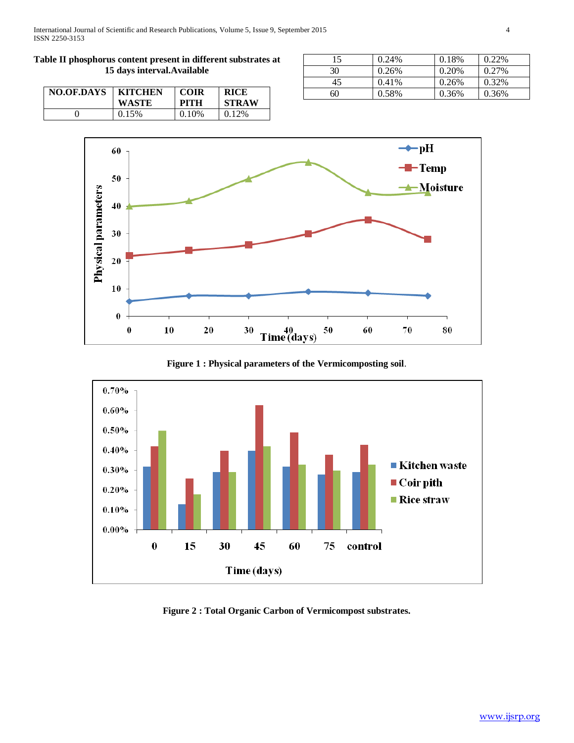## **Table II phosphorus content present in different substrates at 15 days interval.Available**

| NO.OF.DAYS | <b>KITCHEN</b> | <b>COIR</b> | <b>RICE</b>  |
|------------|----------------|-------------|--------------|
|            | WASTE          | <b>PITH</b> | <b>STRAW</b> |
|            | 0.15%          | 0.10%       | 0.12\%       |

| 15 | 0.24% | 0.18% | 0.22% |
|----|-------|-------|-------|
| 30 | 0.26% | 0.20% | 0.27% |
| 45 | 0.41% | 0.26% | 0.32% |
| 60 | 0.58% | 0.36% | 0.36% |



**Figure 1 : Physical parameters of the Vermicomposting soil**.



**Figure 2 : Total Organic Carbon of Vermicompost substrates.**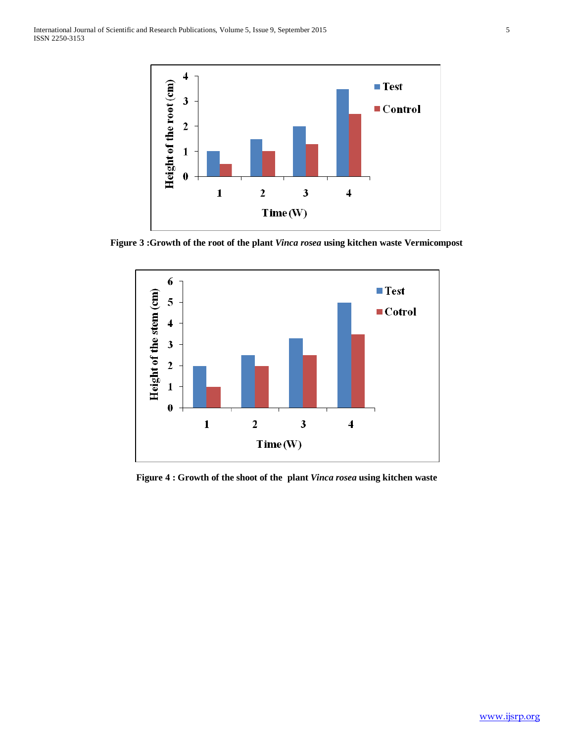

**Figure 3 :Growth of the root of the plant** *Vinca rosea* **using kitchen waste Vermicompost**



**Figure 4 : Growth of the shoot of the plant** *Vinca rosea* **using kitchen waste**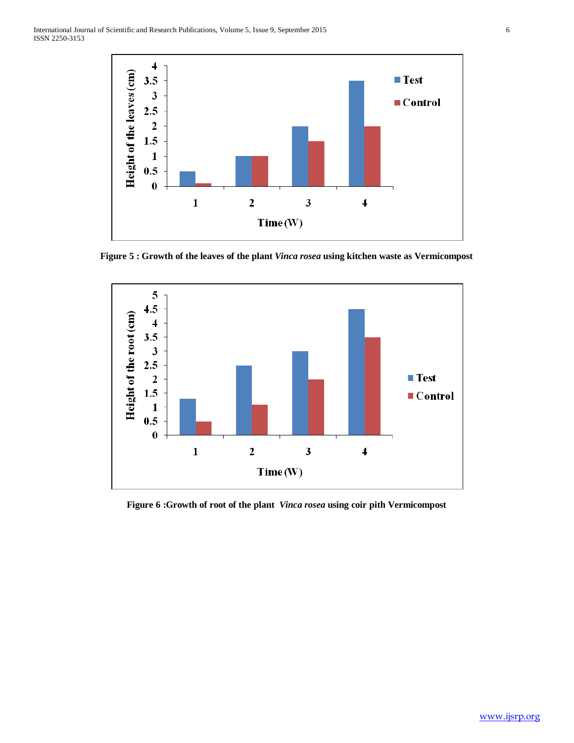

**Figure 5 : Growth of the leaves of the plant** *Vinca rosea* **using kitchen waste as Vermicompost**



**Figure 6 :Growth of root of the plant** *Vinca rosea* **using coir pith Vermicompost**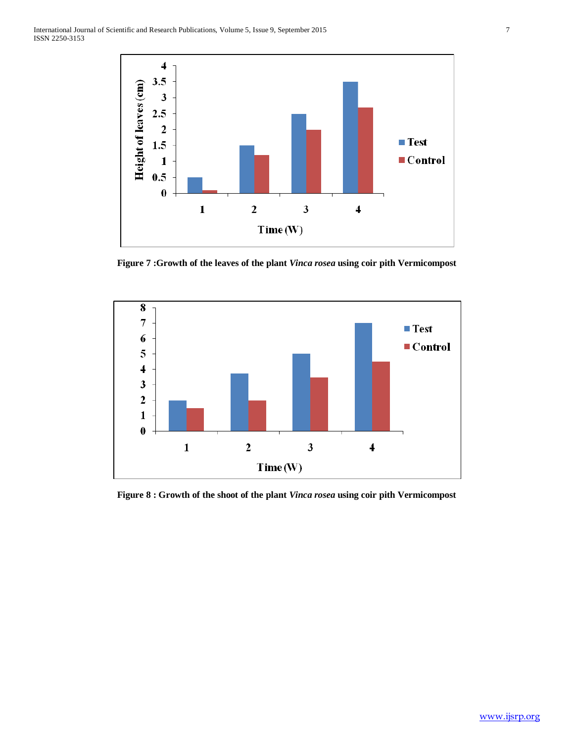

**Figure 7 :Growth of the leaves of the plant** *Vinca rosea* **using coir pith Vermicompost**



**Figure 8 : Growth of the shoot of the plant** *Vinca rosea* **using coir pith Vermicompost**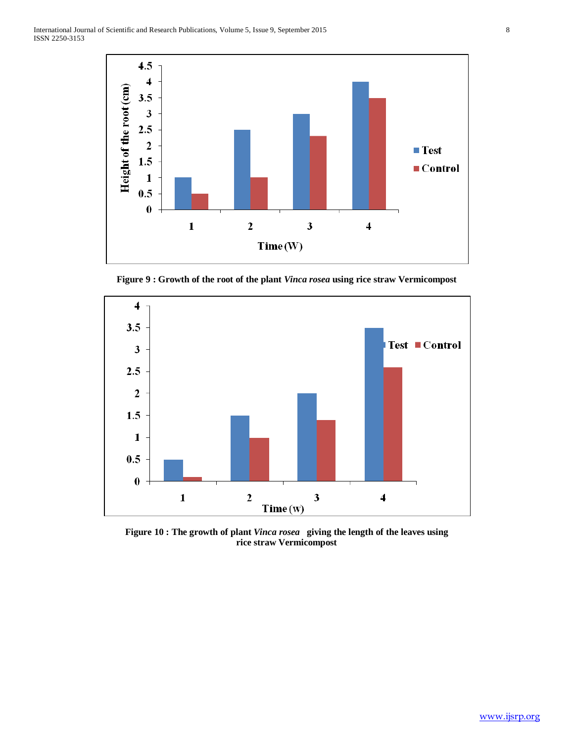

**Figure 9 : Growth of the root of the plant** *Vinca rosea* **using rice straw Vermicompost**



**Figure 10 : The growth of plant** *Vinca rosea* **giving the length of the leaves using rice straw Vermicompost**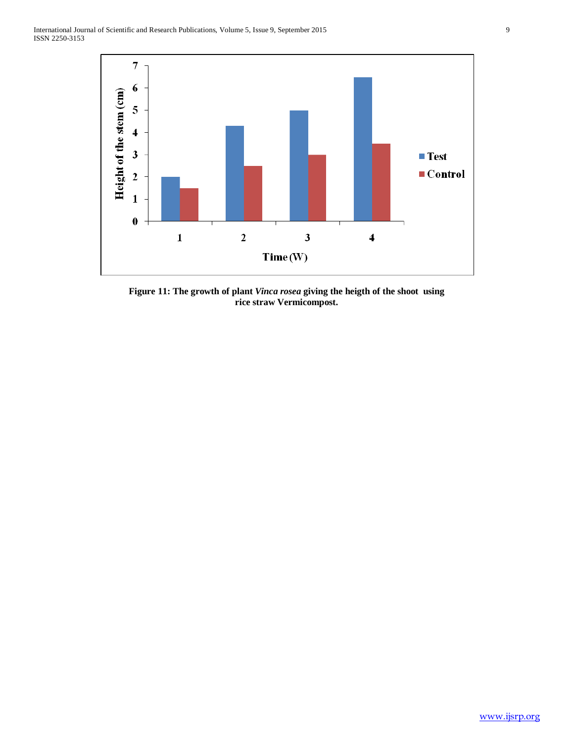

**Figure 11: The growth of plant** *Vinca rosea* **giving the heigth of the shoot using rice straw Vermicompost.**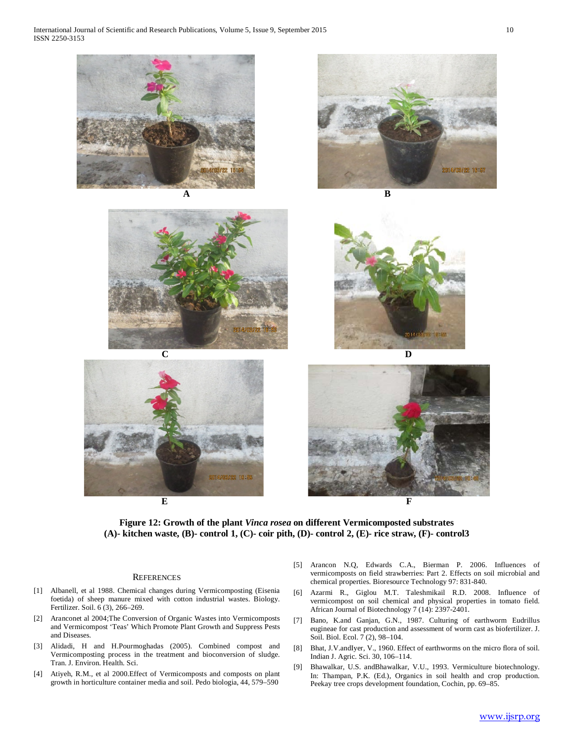International Journal of Scientific and Research Publications, Volume 5, Issue 9, September 2015 10 ISSN 2250-3153





**(A)- kitchen waste, (B)- control 1, (C)- coir pith, (D)- control 2, (E)- rice straw, (F)- control3**

#### **REFERENCES**

- [1] Albanell, et al 1988. Chemical changes during Vermicomposting (Eisenia foetida) of sheep manure mixed with cotton industrial wastes. Biology. Fertilizer. Soil. 6 (3), 266–269.
- [2] Aranconet al 2004;The Conversion of Organic Wastes into Vermicomposts and Vermicompost 'Teas' Which Promote Plant Growth and Suppress Pests and Diseases.
- [3] Alidadi, H and H.Pourmoghadas (2005). Combined compost and Vermicomposting process in the treatment and bioconversion of sludge. Tran. J. Environ. Health. Sci.
- [4] Atiyeh, R.M., et al 2000.Effect of Vermicomposts and composts on plant growth in horticulture container media and soil. Pedo biologia, 44, 579–590
- [5] Arancon N.Q, Edwards C.A., Bierman P. 2006. Influences of vermicomposts on field strawberries: Part 2. Effects on soil microbial and chemical properties. Bioresource Technology 97: 831-840.
- [6] Azarmi R., Giglou M.T. Taleshmikail R.D. 2008. Influence of vermicompost on soil chemical and physical properties in tomato field. African Journal of Biotechnology 7 (14): 2397-2401.
- [7] Bano, K.and Ganjan, G.N., 1987. Culturing of earthworm Eudrillus eugineae for cast production and assessment of worm cast as biofertilizer. J. Soil. Biol. Ecol. 7 (2), 98–104.
- [8] Bhat, J.V.andIyer, V., 1960. Effect of earthworms on the micro flora of soil. Indian J. Agric. Sci. 30, 106–114.
- [9] Bhawalkar, U.S. andBhawalkar, V.U., 1993. Vermiculture biotechnology. In: Thampan, P.K. (Ed.), Organics in soil health and crop production. Peekay tree crops development foundation, Cochin, pp. 69–85.